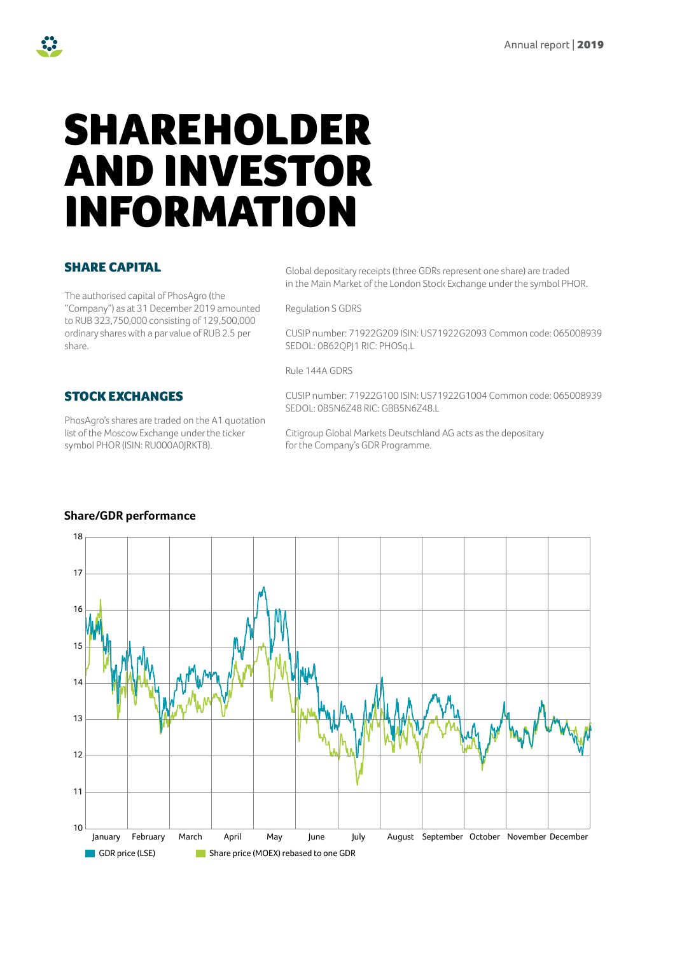# SHAREHOLDER AND INVESTOR INFORMATION

#### SHARE CAPITAL

The authorised capital of PhosAgro (the "Company") as at 31 December 2019 amounted to RUB 323,750,000 consisting of 129,500,000 ordinary shares with a par value of RUB 2.5 per share.

STOCK EXCHANGES

PhosAgro's shares are traded on the A1 quotation list of the Moscow Exchange under the ticker symbol PHOR (ISIN: RU000A0JRKT8).

Global depositary receipts (three GDRs represent one share) are traded in the Main Market of the London Stock Exchange under the symbol PHOR.

Regulation S GDRS

CUSIP number: 71922G209 ISIN: US71922G2093 Common code: 065008939 SEDOL: 0B62QPJ1 RIC: PHOSq.L

Rule 144A GDRS

CUSIP number: 71922G100 ISIN: US71922G1004 Common code: 065008939 SEDOL: 0B5N6Z48 RIC: GBB5N6Z48.L

Citigroup Global Markets Deutschland AG acts as the depositary for the Company's GDR Programme.



## **Share/GDR performance**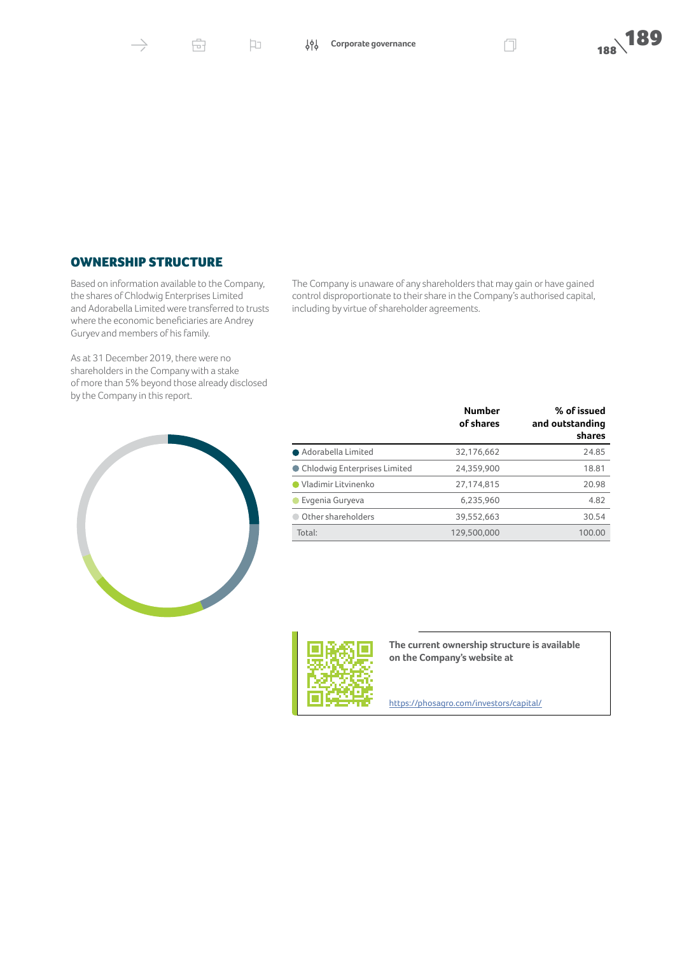帝

 $\Box$ 



### OWNERSHIP STRUCTURE

Based on information available to the Company, the shares of Chlodwig Enterprises Limited and Adorabella Limited were transferred to trusts where the economic beneficiaries are Andrey Guryev and members of his family.

As at 31 December 2019, there were no shareholders in the Company with a stake of more than 5% beyond those already disclosed by the Company in this report.



The Company is unaware of any shareholders that may gain or have gained control disproportionate to their share in the Company's authorised capital, including by virtue of shareholder agreements.

|                                | <b>Number</b><br>of shares | % of issued<br>and outstanding<br>shares |
|--------------------------------|----------------------------|------------------------------------------|
| ● Adorabella Limited           | 32,176,662                 | 24.85                                    |
| ● Chlodwig Enterprises Limited | 24.359.900                 | 18.81                                    |
| ● Vladimir Litvinenko          | 27.174.815                 | 20.98                                    |
| ● Evgenia Guryeva              | 6,235,960                  | 4.82                                     |
| Other shareholders             | 39.552.663                 | 30.54                                    |
| Total:                         | 129.500.000                | 100.00                                   |



**The current ownership structure is available on the Company's website at** 

<https://phosagro.com/investors/capital/>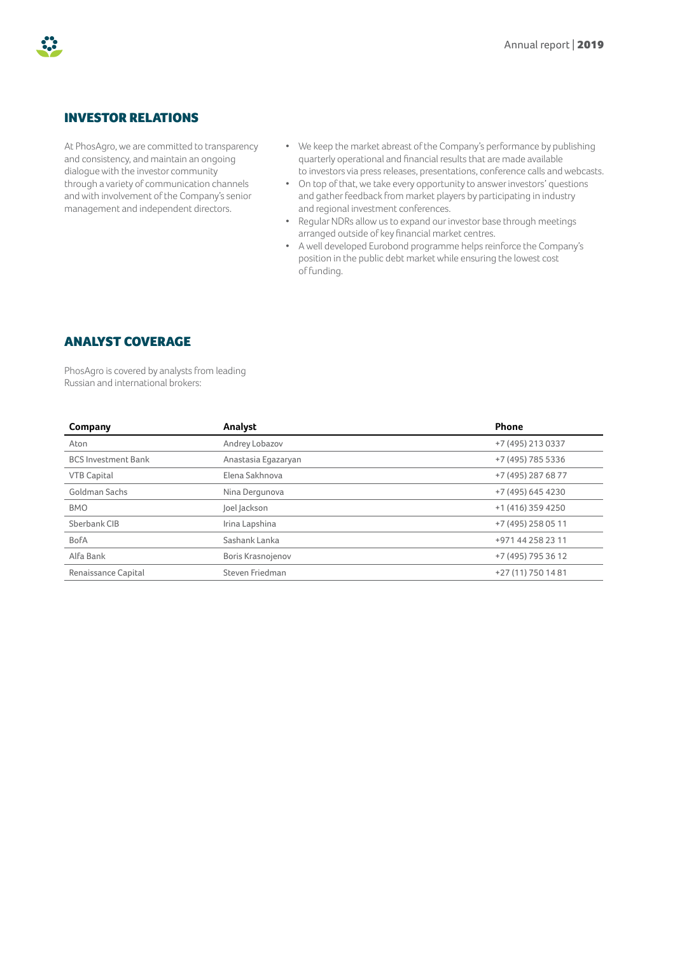#### INVESTOR RELATIONS

At PhosAgro, we are committed to transparency and consistency, and maintain an ongoing dialogue with the investor community through a variety of communication channels and with involvement of the Company's senior management and independent directors.

- We keep the market abreast of the Company's performance by publishing quarterly operational and financial results that are made available to investors via press releases, presentations, conference calls and webcasts.
- On top of that, we take every opportunity to answer investors' questions and gather feedback from market players by participating in industry and regional investment conferences.
- Regular NDRs allow us to expand our investor base through meetings arranged outside of key financial market centres.
- A well developed Eurobond programme helps reinforce the Company's position in the public debt market while ensuring the lowest cost of funding.

#### ANALYST COVERAGE

PhosAgro is covered by analysts from leading Russian and international brokers:

| Company                    | Analyst             | <b>Phone</b>       |
|----------------------------|---------------------|--------------------|
| Aton                       | Andrey Lobazov      | +7 (495) 213 0337  |
| <b>BCS Investment Bank</b> | Anastasia Egazaryan | +7 (495) 785 5336  |
| <b>VTB Capital</b>         | Elena Sakhnova      | +7 (495) 287 68 77 |
| Goldman Sachs              | Nina Dergunova      | +7 (495) 645 4230  |
| <b>BMO</b>                 | Joel Jackson        | +1 (416) 359 4250  |
| Sberbank CIB               | Irina Lapshina      | +7 (495) 258 05 11 |
| <b>BofA</b>                | Sashank Lanka       | +971 44 258 23 11  |
| Alfa Bank                  | Boris Krasnojenov   | +7 (495) 795 36 12 |
| Renaissance Capital        | Steven Friedman     | +27 (11) 750 14 81 |

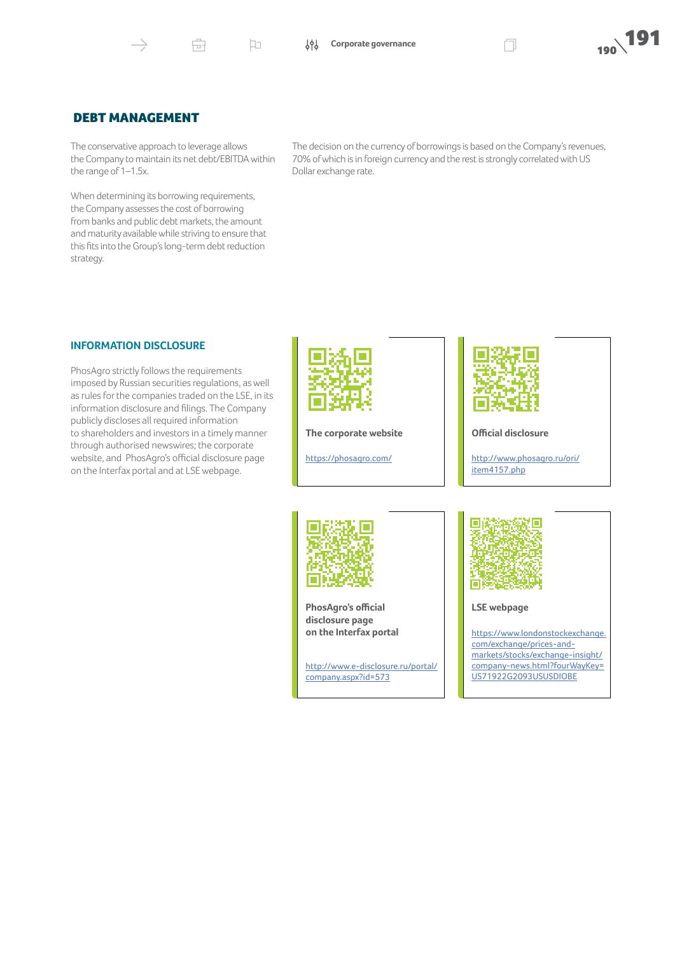虛

Þ



#### DEBT MANAGEMENT

The conservative approach to leverage allows the Company to maintain its net debt/EBITDA within the range of 1–1.5x.

When determining its borrowing requirements, the Company assesses the cost of borrowing from banks and public debt markets, the amount and maturity available while striving to ensure that this fits into the Group's long-term debt reduction strategy.

The decision on the currency of borrowings is based on the Company's revenues, 70% of which is in foreign currency and the rest is strongly correlated with US Dollar exchange rate.

#### **INFORMATION DISCLOSURE**

PhosAgro strictly follows the requirements imposed by Russian securities regulations, as well as rules for the companies traded on the LSE, in its information disclosure and filings. The Company publicly discloses all required information to shareholders and investors in a timely manner through authorised newswires; the corporate website, and PhosAgro's official disclosure page on the Interfax portal and at LSE webpage.



**The corporate website** 

<https://phosagro.com/>



**Official disclosure** 

[http://www.phosagro.ru/ori/](http://www.phosagro.ru/ori/item4157.php) [item4157.php](http://www.phosagro.ru/ori/item4157.php)



**PhosAgro's official disclosure page on the Interfax portal [https://www.londonstockexchange.](https://www.londonstockexchange.com/exchange/prices-and-markets/stocks/exchange-insight/company-news.html?fourWayKey=US71922G2093USUSDIOBE)** 

[http://www.e-disclosure.ru/portal/](http://www.edisclosure.ru/portal/company.aspx?id=573) company.aspx?id=573



**LSE webpage** 

com/exchange/prices-andmarkets/stocks/exchange-insight/ company-news.html?fourWayKey= US71922G2093USUSDIOBE